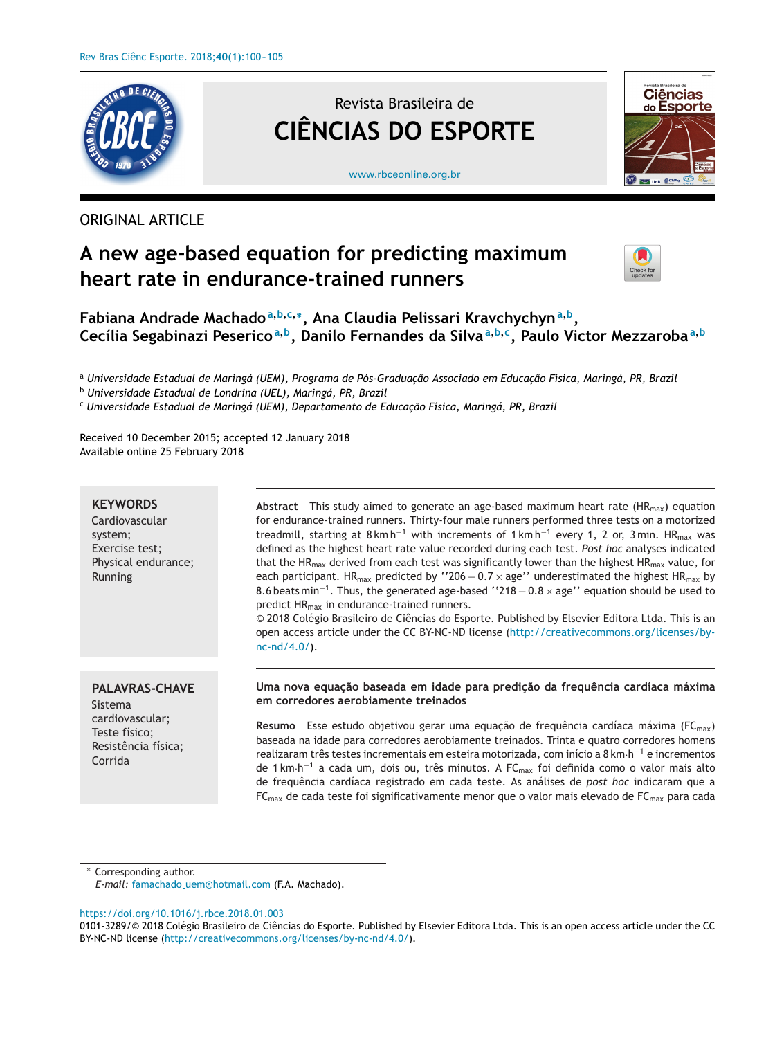

# ORIGINAL ARTICLE

# Revista Brasileira de **CIÊNCIAS DO ESPORTE**



[www.rbceonline.org.br](http://www.rbceonline.org.br)

# **A new age-based equation for predicting maximum heart rate in endurance-trained runners**



# **Fabiana Andrade Machado<sup>a</sup>,b,c,∗, Ana Claudia Pelissari Kravchychyn<sup>a</sup>,b,** Cecília Segabinazi Peserico<sup>a, b</sup>, Danilo Fernandes da Silva<sup>a, b, c</sup>, Paulo Victor Mezzaroba<sup>a, b</sup>

<sup>a</sup> *Universidade Estadual de Maringá (UEM), Programa de Pós-Graduac¸ão Associado em Educac¸ão Física, Maringá, PR, Brazil*

<sup>b</sup> *Universidade Estadual de Londrina (UEL), Maringá, PR, Brazil*

<sup>c</sup> *Universidade Estadual de Maringá (UEM), Departamento de Educac¸ão Física, Maringá, PR, Brazil*

Received 10 December 2015; accepted 12 January 2018 Available online 25 February 2018

### **KEYWORDS**

Cardiovascular system; Exercise test; Physical endurance; Running

Abstract This study aimed to generate an age-based maximum heart rate (HR<sub>max</sub>) equation for endurance-trained runners. Thirty-four male runners performed three tests on a motorized treadmill, starting at 8 km h<sup>-1</sup> with increments of 1 km h<sup>-1</sup> every 1, 2 or, 3 min. HR<sub>max</sub> was defined as the highest heart rate value recorded during each test. *Post hoc* analyses indicated that the HR<sub>max</sub> derived from each test was significantly lower than the highest HR<sub>max</sub> value, for each participant. HR<sub>max</sub> predicted by ''206 – 0.7 × age'' underestimated the highest HR<sub>max</sub> by 8.6 beats min<sup>-1</sup>. Thus, the generated age-based ''218 – 0.8  $\times$  age'' equation should be used to predict HRmax in endurance-trained runners.

 $©$  2018 Colégio Brasileiro de Ciências do Esporte. Published by Elsevier Editora Ltda. This is an open access article under the CC BY-NC-ND license ([http://creativecommons.org/licenses/by](http://creativecommons.org/licenses/by-nc-nd/4.0/)[nc-nd/4.0/\)](http://creativecommons.org/licenses/by-nc-nd/4.0/).

# **PALAVRAS-CHAVE**

Sistema cardiovascular; Teste físico; Resistência física; Corrida

#### **Uma nova equac¸ão baseada em idade para predic¸ão da frequência cardíaca máxima em corredores aerobiamente treinados**

**Resumo** Esse estudo objetivou gerar uma equação de frequência cardíaca máxima (FC<sub>max</sub>) baseada na idade para corredores aerobiamente treinados. Trinta e quatro corredores homens realizaram três testes incrementais em esteira motorizada, com início <sup>a</sup> <sup>8</sup> km·h−<sup>1</sup> <sup>e</sup> incrementos de <sup>1</sup> km·h−<sup>1</sup> <sup>a</sup> cada um, dois ou, três minutos. <sup>A</sup> FCmax foi definida como <sup>o</sup> valor mais alto de frequência cardíaca registrado em cada teste. As análises de *post hoc* indicaram que a  $FC<sub>max</sub>$  de cada teste foi significativamente menor que o valor mais elevado de  $FC<sub>max</sub>$  para cada

Corresponding author.

*E-mail:* famachado [uem@hotmail.com](mailto:famachado_uem@hotmail.com) (F.A. Machado).

<https://doi.org/10.1016/j.rbce.2018.01.003>

<sup>0101-3289/© 2018</sup> Colégio Brasileiro de Ciências do Esporte. Published by Elsevier Editora Ltda. This is an open access article under the CC BY-NC-ND license [\(http://creativecommons.org/licenses/by-nc-nd/4.0/\)](http://creativecommons.org/licenses/by-nc-nd/4.0/).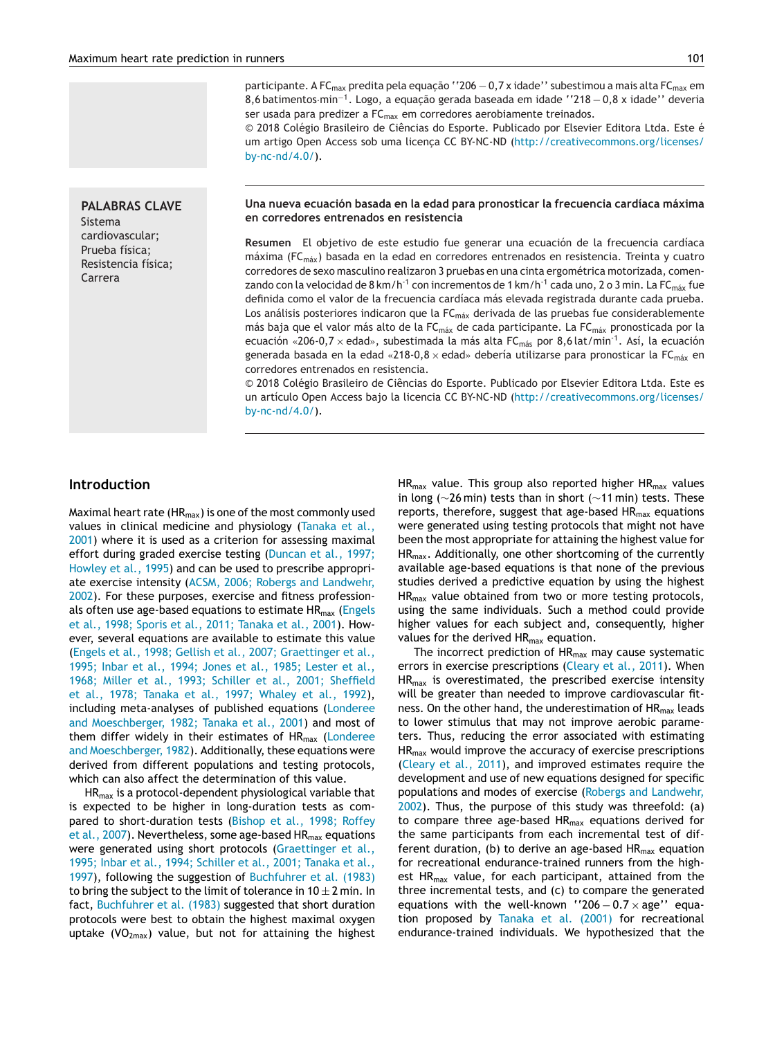**PALABRAS CLAVE** Sistema cardiovascular; Prueba física; Resistencia física; Carrera

participante. A FC<sub>max</sub> predita pela equação ''206 – 0,7 x idade'' subestimou a mais alta FC<sub>max</sub> em 8,6 batimentos·min<sup>-1</sup>. Logo, a equação gerada baseada em idade ''218 – 0,8 x idade'' deveria ser usada para predizer a FC<sub>max</sub> em corredores aerobiamente treinados.

© 2018 Colégio Brasileiro de Ciências do Esporte. Publicado por Elsevier Editora Ltda. Este é um artigo Open Access sob uma licença CC BY-NC-ND [\(http://creativecommons.org/licenses/](http://creativecommons.org/licenses/by-nc-nd/4.0/) [by-nc-nd/4.0/](http://creativecommons.org/licenses/by-nc-nd/4.0/)).

#### **Una nueva ecuación basada en la edad para pronosticar la frecuencia cardíaca máxima en corredores entrenados en resistencia**

**Resumen** El objetivo de este estudio fue generar una ecuación de la frecuencia cardíaca máxima ( $FC<sub>max</sub>$ ) basada en la edad en corredores entrenados en resistencia. Treinta y cuatro corredores de sexo masculino realizaron 3 pruebas en una cinta ergométrica motorizada, comenzando con la velocidad de 8 km/h<sup>-1</sup> con incrementos de 1 km/h<sup>-1</sup> cada uno, 2 o 3 min. La FC<sub>máx</sub> fue definida como el valor de la frecuencia cardíaca más elevada registrada durante cada prueba. Los análisis posteriores indicaron que la  $FC<sub>max</sub>$  derivada de las pruebas fue considerablemente más baja que el valor más alto de la FC<sub>máx</sub> de cada participante. La FC<sub>máx</sub> pronosticada por la ecuación «206-0,7 x edad», subestimada la más alta FC $_{\text{más}}$  por 8,6 lat/min<sup>-1</sup>. Así, la ecuación generada basada en la edad «218-0,8 x edad» debería utilizarse para pronosticar la FC $_{\text{max}}$  en corredores entrenados en resistencia.

© 2018 Colégio Brasileiro de Ciências do Esporte. Publicado por Elsevier Editora Ltda. Este es un artículo Open Access bajo la licencia CC BY-NC-ND [\(http://creativecommons.org/licenses/](http://creativecommons.org/licenses/by-nc-nd/4.0/) [by-nc-nd/4.0/](http://creativecommons.org/licenses/by-nc-nd/4.0/)).

### **Introduction**

Maximal heart rate ( $HR_{max}$ ) is one of the most commonly used values in clinical medicine and physiology ([Tanaka](#page-5-0) et al., 2001) where it is used as a criterion for assessing maximal effort during graded exercise testing (Duncan et al., 1997; Howley et al., 1995) and can be used to prescribe appropriate exercise intensity (ACSM, 2006; Robergs and [Landwehr,](#page-5-0) 2002). For these purposes, exercise and fitness professionals often use age-based equations to estimate  $HR_{max}$  (Engels et al., 1998; Sporis et al., 2011; Tanaka et al., 2001). However, several equations are available to estimate this value (Engels et al., 1998; Gellish et al., 2007; [Graettinger](#page-5-0) et al., 1995; Inbar et al., 1994; Jones et al., 1985; Lester et al., 1968; Miller et al., 1993; Schiller et al., 2001; Sheffield et al., 1978; Tanaka et al., 1997; Whaley et al., 1992), including meta-analyses of published equations (Londeree and Moeschberger, 1982; Tanaka et al., 2001) and most of them differ widely in their estimates of HR<sub>max</sub> [\(Londeree](#page-5-0) and Moeschberger, 1982). Additionally, these equations were derived from different populations and testing protocols, which can also affect the determination of this value.

 $HR_{max}$  is a protocol-dependent physiological variable that is expected to be higher in long-duration tests as compared to short-duration tests ([Bishop](#page-5-0) et al., 1998; Roffey et al., 2007). Nevertheless, some age-based  $HR_{max}$  equations were generated using short protocols ([Graettinger](#page-5-0) et al., 1995; Inbar et al., 1994; Schiller et al., 2001; Tanaka et al., 1997), following the suggestion of [Buchfuhrer](#page-5-0) et al. (1983) to bring the subject to the limit of tolerance in  $10 \pm 2$  min. In fact, [Buchfuhrer](#page-5-0) et al. (1983) suggested that short duration protocols were best to obtain the highest maximal oxygen uptake  $(VO<sub>2max</sub>)$  value, but not for attaining the highest  $HR_{max}$  value. This group also reported higher HR $_{max}$  values in long (∼26 min) tests than in short (∼11 min) tests. These reports, therefore, suggest that age-based  $HR<sub>max</sub>$  equations were generated using testing protocols that might not have been the most appropriate for attaining the highest value for HRmax. [Additional](#page-5-0)ly, one other shortcoming of the currently available age-based equations is that none of the previous studies derived a predictive equation by using the highest HR<sub>max</sub> value obtained from two or more testing protocols, using the same [individuals.](#page-5-0) Such a method could provide higher values for each subject and, consequently, higher values for the derived  $HR_{max}$  equation.

The incorrect prediction of  $HR<sub>max</sub>$  may cause systematic errors in exercise prescriptions [\(Cleary](#page-5-0) et al., 2011). When HR<sub>max</sub> is overestimated, the prescribed exercise intensity will be greater than needed to improve cardiovascular fitness. On the other hand, the [underestimat](#page-5-0)ion of  $HR<sub>max</sub>$  leads to lower stimulus that may not improve aerobic parameters. Thus, reducing the error associated with estimating HRmax would improve the accuracy of exercise prescriptions ([Cleary](#page-5-0) et al., 2011), and improved estimates require the development and use of new equations designed for specific populations and modes of exercise (Robergs and [Landwehr,](#page-5-0) 2002). Thus, the purpose of this study was threefold: (a) to compare three age-based  $HR_{max}$  equations derived for the same participants from each incremental test of different duration, (b) to derive an age-based  $HR<sub>max</sub>$  equation for recreational endurance-trained runners from the highest  $HR_{max}$  value, for each participant, attained from the three incremental tests, and (c) to compare the generated equations with the well-known "206  $-0.7 \times$  age" equation proposed by [Tanaka](#page-5-0) et al. (2001) for recreational endurance-trained individuals. We hypothesized that the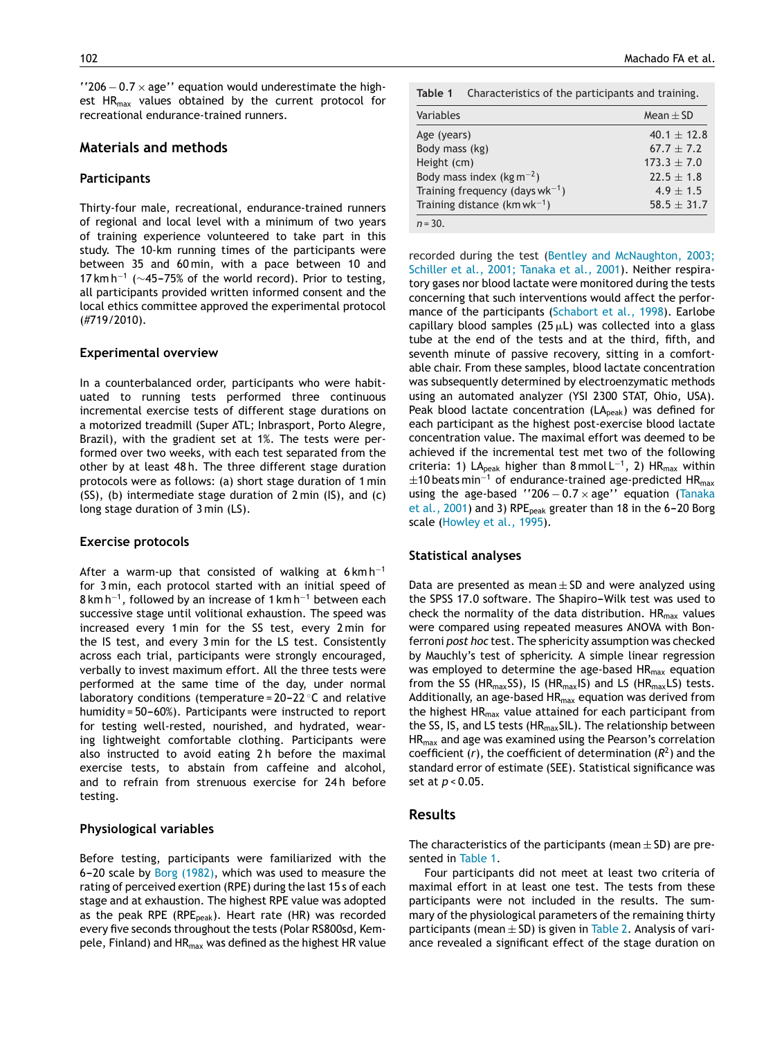$'$ '206 – 0.7  $\times$  age'' equation would underestimate the highest  $HR_{max}$  values obtained by the current protocol for recreational endurance-trained runners.

# **Materials and methods**

#### **Participants**

Thirty-four male, recreational, endurance-trained runners of regional and local level with a minimum of two years of training experience volunteered to take part in this study. The 10-km running times of the participants were between 35 and 60 min, with a pace between 10 and 17 km h<sup>-1</sup> ( $\sim$ 45-75% of the world record). Prior to testing, all participants provided written informed consent and the local ethics committee approved the experimental protocol (#719/2010).

#### **Experimental overview**

In a counterbalanced order, participants who were habituated to running tests performed three continuous incremental exercise tests of different stage durations on a motorized treadmill (Super ATL; Inbrasport, Porto Alegre, Brazil), with the gradient set at 1%. The tests were performed over two weeks, with each test separated from the other by at least 48 h. The three different stage duration protocols were as follows: (a) short stage duration of 1 min (SS), (b) intermediate stage duration of 2 min (IS), and (c) long stage duration of 3 min (LS).

#### **Exercise protocols**

After a warm-up that consisted of walking at  $6 \text{ km h}^{-1}$ for 3 min, each protocol started with an initial speed of 8 km h−1, followed by an increase of 1 km h−<sup>1</sup> between each successive stage until volitional exhaustion. The speed was increased every 1 min for the SS test, every 2 min for the IS test, and every 3 min for the LS test. Consistently across each trial, participants were strongly encouraged, verbally to invest maximum effort. All the three tests were performed at the same time of the day, under normal laboratory conditions (temperature =  $20-22$  °C and relative humidity =  $50-60%$ ). Participants were instructed to report for testing well-rested, nourished, and hydrated, wearing lightweight comfortable clothing. Participants were also instructed to avoid eating 2 h before the maximal exercise tests, to abstain from caffeine and alcohol, and to refrain from strenuous exercise for 24h before testing.

#### **Physiological variables**

Before testing, participants were familiarized with the 6-20 scale by Borg  $(1982)$ , which was used to measure the rating of perceived exertion (RPE) during the last 15 s of each stage and at exhaustion. The highest RPE value was adopted as the peak RPE (RPE $_{peak}$ ). Heart rate (HR) was recorded every five seconds throughout the tests (Polar RS800sd, Kempele, Finland) and  $HR<sub>max</sub>$  was defined as the highest HR value

|                                          | <b>Table 1</b> Characteristics of the participants and training. |
|------------------------------------------|------------------------------------------------------------------|
| $\Delta L$ and $\Delta L$ and $\Delta L$ | $11 - 100$                                                       |

| Variables                                | Mean $\pm$ SD   |
|------------------------------------------|-----------------|
| Age (years)                              | $40.1 \pm 12.8$ |
| Body mass (kg)                           | $67.7 \pm 7.2$  |
| Height (cm)                              | $173.3 \pm 7.0$ |
| Body mass index (kg m <sup>-2</sup> )    | $22.5 \pm 1.8$  |
| Training frequency (days $wk^{-1}$ )     | $4.9 + 1.5$     |
| Training distance (km wk <sup>-1</sup> ) | $58.5 \pm 31.7$ |

*n* = 30.

recorded during the test (Bentley and [McNaughton,](#page-5-0) 2003; Schiller et al., 2001; Tanaka et al., 2001). Neither respiratory gases nor blood lactate were monitored during the tests concerning that such interventions would affect the performance of the participants [\(Schabort](#page-5-0) et al., 1998). Earlobe capillary blood samples (25  $\mu$ L) was collected into a glass tube at the end of the tests and at the third, fifth, and seventh minute of passive recovery, sitting in a comfortable chair. From these samples, blood lactate concentration was subsequently determined by electroenzymatic methods using an automated analyzer (YSI 2300 STAT, Ohio, USA). Peak blood lactate concentration  $(LA_{peak})$  was defined for each participant as the highest post-exercise blood lactate concentration value. The maximal effort was deemed to be achieved if the incremental test met two of the following criteria: 1) LA<sub>peak</sub> higher than 8 mmol L<sup>-1</sup>, 2) HR<sub>max</sub> within  $\pm$ 10 beats min<sup>-1</sup> of endurance-trained age-predicted HR<sub>max</sub> using the age-based ''206  $-0.7 \times$  age'' equation [\(Tanaka](#page-5-0) et al.,  $2001$ ) and 3) RPE<sub>peak</sub> greater than 18 in the 6-20 Borg scale [\(Howley](#page-5-0) et al., 1995).

#### **Statistical analyses**

Data are presented as mean  $\pm$  SD and were analyzed using the SPSS 17.0 software. The Shapiro-Wilk test was used to check the normality of the data distribution.  $HR_{max}$  values were compared using repeated measures ANOVA with Bonferroni *post hoc* test. The sphericity assumption was checked by Mauchly's test of sphericity. A simple linear regression was employed to determine the age-based  $HR_{max}$  equation from the SS (HR<sub>max</sub>SS), IS (HR<sub>max</sub>IS) and LS (HR<sub>max</sub>LS) tests. Additionally, an age-based  $HR<sub>max</sub>$  equation was derived from the highest  $HR<sub>max</sub>$  value attained for each participant from the SS, IS, and LS tests ( $HR_{max}$ SIL). The relationship between HRmax and age was examined using the Pearson's correlation coefficient  $(r)$ , the coefficient of determination  $(R^2)$  and the standard error of estimate (SEE). Statistical significance was set at *p* < 0.05.

#### **Results**

The characteristics of the participants (mean  $\pm$  SD) are presented in Table 1.

Four participants did not meet at least two criteria of maximal effort in at least one test. The tests from these participants were not included in the results. The summary of the physiological parameters of the remaining thirty participants (mean  $\pm$  SD) is given in [Table](#page-3-0) 2. Analysis of variance revealed a significant effect of the stage duration on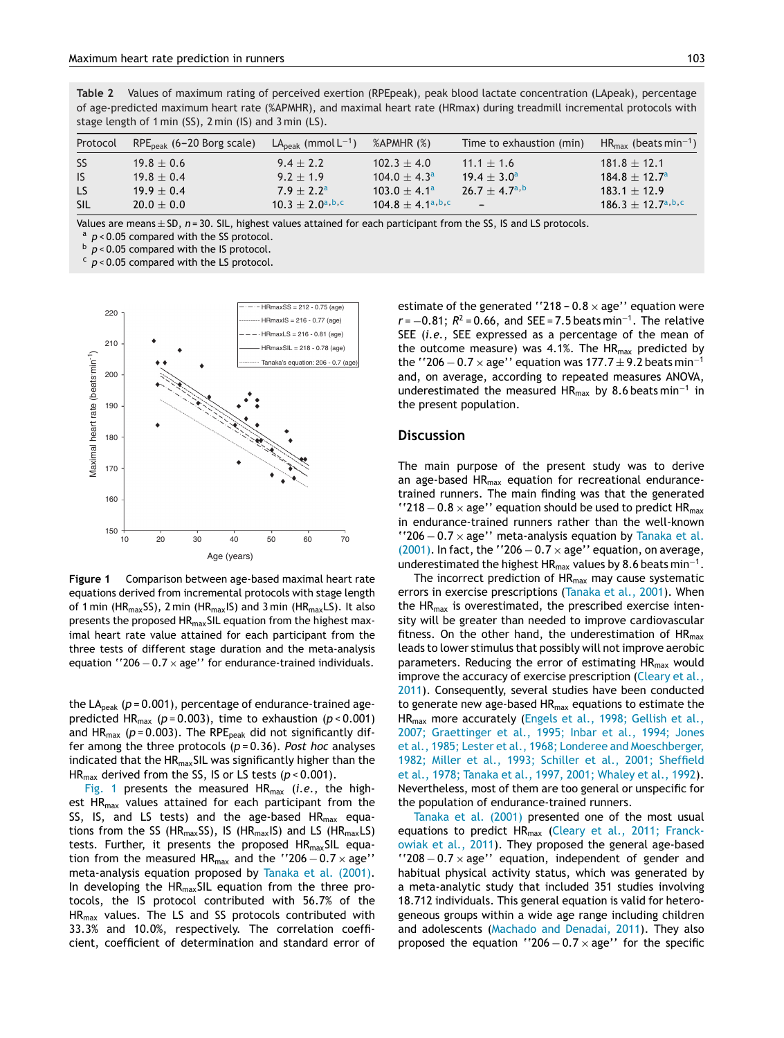<span id="page-3-0"></span>**Table 2** Values of maximum rating of perceived exertion (RPEpeak), peak blood lactate concentration (LApeak), percentage of age-predicted maximum heart rate (%APMHR), and maximal heart rate (HRmax) during treadmill incremental protocols with stage length of 1 min (SS), 2 min (IS) and 3 min (LS).

| Protocol   | $RPEpeak$ (6–20 Borg scale) | $LApeak$ (mmol $L-1$ )   | $%APMHR(\%)$          | Time to exhaustion (min)         | $HR_{\text{max}}$ (beats min <sup>-1</sup> ) |
|------------|-----------------------------|--------------------------|-----------------------|----------------------------------|----------------------------------------------|
| SS.        | $19.8 \pm 0.6$              | $9.4 \pm 2.2$            | $102.3 \pm 4.0$       | $11.1 \pm 1.6$                   | $181.8 \pm 12.1$                             |
| IS         | $19.8 \pm 0.4$              | $9.2 + 1.9$              | $104.0 + 4.3a$        | $19.4 \pm 3.0^{\circ}$           | $184.8 \pm 12.7^{\circ}$                     |
| LS.        | $19.9 \pm 0.4$              | $7.9 \pm 2.2^{\text{a}}$ | $103.0 \pm 4.1^a$     | $26.7 + 4.7^{\text{a},\text{b}}$ | $183.1 \pm 12.9$                             |
| <b>SIL</b> | $20.0 \pm 0.0$              | $10.3 + 2.0^{a,b,c}$     | $104.8 + 4.1^{a,b,c}$ | $\overline{\phantom{0}}$         | $186.3 + 12.7^{\text{a},\text{b},\text{c}}$  |

Values are means  $\pm$  SD, *n* = 30. SIL, highest values attained for each participant from the SS, IS and LS protocols.  $a$  *p* < 0.05 compared with the SS protocol.

b  $p < 0.05$  compared with the IS protocol.

<sup>c</sup> *p* < 0.05 compared with the LS protocol.



**Figure 1** Comparison between age-based maximal heart rate equations derived from incremental protocols with stage length of 1 min (HR<sub>max</sub>SS), 2 min (HR<sub>max</sub>IS) and 3 min (HR<sub>max</sub>LS). It also presents the proposed HR<sub>max</sub>SIL equation from the highest maximal heart rate value attained for each participant from the three tests of different stage duration and the meta-analysis equation ''206  $-0.7 \times$  age'' for endurance-trained individuals.

the  $LA<sub>peak</sub>$  ( $p = 0.001$ ), percentage of endurance-trained agepredicted HR<sub>max</sub> ( $p = 0.003$ ), time to exhaustion ( $p < 0.001$ ) and  $HR_{max}$  ( $p = 0.003$ ). The RPE<sub>peak</sub> did not significantly differ among the three protocols (*p* = 0.36). *Post hoc* analyses indicated that the HR<sub>max</sub>SIL was significantly higher than the HR<sub>max</sub> derived from the SS, IS or LS tests (*p* < 0.001).

Fig. 1 presents the measured HRmax (*i.e.*, the highest HR<sub>max</sub> values attained for each participant from the SS, IS, and LS tests) and the age-based  $HR_{max}$  equations from the SS (HR<sub>max</sub>SS), IS (HR<sub>max</sub>IS) and LS (HR<sub>max</sub>LS) tests. Further, it presents the proposed HR<sub>max</sub>SIL equation from the measured HR<sub>max</sub> and the ''206  $-0.7 \times$  age'' meta-analysis equation proposed by [Tanaka](#page-5-0) et al. (2001). In developing the  $HR_{max}$ SIL equation from the three protocols, the IS protocol contributed with 56.7% of the HRmax values. The LS and SS protocols contributed with 33.3% and 10.0%, respectively. The correlation coefficient, coefficient of determination and standard error of estimate of the generated ''218 -  $0.8 \times$  age'' equation were  $r = -0.81$ ;  $R^2 = 0.66$ , and SEE = 7.5 beats min<sup>-1</sup>. The relative SEE (*i.e.*, SEE expressed as a percentage of the mean of the outcome measure) was 4.1%. The  $HR_{max}$  predicted by the ''206  $-0.7 \times$  age'' equation was 177.7  $\pm$  9.2 beats min<sup>-1</sup> and, on average, according to repeated measures ANOVA, underestimated the measured HRmax by 8.6 beats min−<sup>1</sup> in the present population.

#### **Discussion**

The main purpose of the present study was to derive an age-based HR<sub>max</sub> equation for recreational endurancetrained runners. The main finding was that the generated ''218  $-$  0.8  $\times$  age'' equation should be used to predict HR<sub>max</sub> in endurance-trained runners rather than the well-known ''206  $-0.7 \times$  age'' meta-analysis equation by [Tanaka](#page-5-0) et al. (2001). In fact, the ''206  $-$  0.7  $\times$  age'' equation, on average, underestimated the highest HR $_{max}$  values by 8.6 beats min<sup>-1</sup>.

The incorrect prediction of  $HR<sub>max</sub>$  may cause systematic errors in exercise prescriptions [\(Tanaka](#page-5-0) et al., 2001). When the  $HR<sub>max</sub>$  is overestimated, the prescribed exercise intensity will be greater than needed to improve cardiovascular fitness. On the other hand, the underestimation of  $HR_{max}$ leads to lower stimulus that possibly will not improve aerobic parameters. Reducing the error of estimating HR<sub>max</sub> would improve the accuracy of exercise prescription ([Cleary](#page-5-0) et al., 2011). Consequently, several studies have been conducted to generate new age-based  $HR_{max}$  equations to estimate the HRmax more accurately (Engels et al., 1998; [Gellish](#page-5-0) et al., 2007; Graettinger et al., 1995; Inbar et al., 1994; Jones et al., 1985; Lester et al., 1968; Londeree and Moeschberger, 1982; Miller et al., 1993; Schiller et al., 2001; Sheffield et al., 1978; Tanaka et al., 1997, 2001; Whaley et al., 1992). Nevertheless, most of them are too general or unspecific for the population of endurance-trained runners.

[Tanaka](#page-5-0) et al. (2001) presented one of the most usual equations to predict HR<sub>max</sub> (Cleary et al., 2011; [Franck](#page-5-0)owiak et al., 2011). They proposed the general age-based  $'$ '208 – 0.7  $\times$  age'' equation, independent of gender and habitual physical activity status, which was generated by a meta-analytic study that included 351 studies involving 18.712 individuals. This general equation is valid for heterogeneous groups within a wide age range including children and adolescents (Machado and [Denadai,](#page-5-0) 2011). They also proposed the equation ''206  $-0.7 \times$  age'' for the specific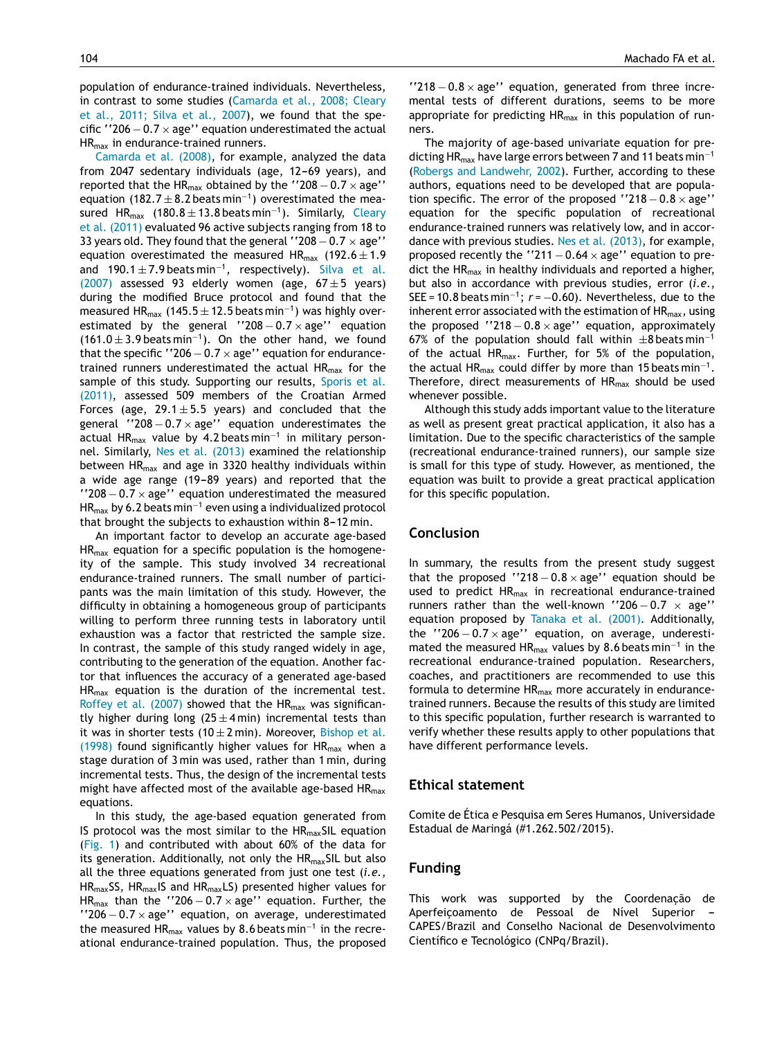population of endurance-trained individuals. Nevertheless, in contrast to some studies [\(Camarda](#page-5-0) et al., 2008; Cleary et al., 2011; Silva et al., 2007), we found that the specific  $"206 - 0.7 \times$  age" equation underestimated the actual HR<sub>max</sub> in endurance-trained runners.

[Camarda](#page-5-0) et al. (2008), for example, analyzed the data from 2047 sedentary individuals (age, 12-69 years), and reported that the HR<sub>max</sub> obtained by the ''208  $-0.7 \times$  age'' equation (182.7  $\pm$  8.2 beats min<sup>-1</sup>) overestimated the measured HR<sub>max</sub> (180.8  $\pm$  13.8 beats min<sup>-1</sup>). Similarly, Cleary et al. (2011) evaluated 96 active subjects ranging from 18 to 33 years old. They found that the general  $"208 - 0.7 \times age"$ equation overestimated the measured HR<sub>max</sub> (192.6  $\pm$  1.9 and 190.1  $\pm$  7.9 beats min<sup>-1</sup>, respectively). [Silva](#page-5-0) et al. (2007) assessed 93 elderly women (age,  $67 \pm 5$  years) during the modified Bruce protocol and found that the measured HR<sub>max</sub> (145.5  $\pm$  12.5 beats min<sup>-1</sup>) was highly overestimated by the general  $'208 - 0.7 \times$  age'' equation  $(161.0 \pm 3.9 \text{ beats min}^{-1})$ . On the other hand, we found that the specific ''206  $-$  0.7  $\times$  age'' equation for endurancetrained runners underestimated the actual  $HR_{max}$  for the sample of this study. Supporting our results, [Sporis](#page-5-0) et al. (2011), assessed 509 members of the Croatian Armed Forces (age,  $29.1 \pm 5.5$  years) and concluded that the general ''208  $-0.7 \times$  age'' equation underestimates the actual HRmax value by 4.2 beats min−<sup>1</sup> in military personnel. Similarly, Nes et al. [\(2013\)](#page-5-0) examined the relationship between HRmax and age in 3320 healthy individuals within a wide age range (19-89 years) and reported that the  $'$ '208 – 0.7  $\times$  age'' equation underestimated the measured  $HR_{max}$  by 6.2 beats min<sup>-1</sup> even using a individualized protocol that brought the subjects to exhaustion within  $8-12$  min.

An important factor to develop an accurate age-based  $HR_{max}$  equation for a specific population is the homogeneity of the sample. This study involved 34 recreational endurance-trained runners. The small number of participants was the main limitation of this study. However, the difficulty in obtaining a homogeneous group of participants willing to perform three running tests in laboratory until exhaustion was a factor that restricted the sample size. In contrast, the sample of this study ranged widely in age, contributing to the generation of the equation. Another factor that influences the accuracy of a generated age-based  $HR_{max}$  equation is the duration of the incremental test. [Roffey](#page-5-0) et al. (2007) showed that the  $HR_{max}$  was significantly higher during long  $(25 \pm 4 \text{ min})$  incremental tests than it was in shorter tests (10  $\pm$  2 min). Moreover, [Bishop](#page-5-0) et al. (1998) found significantly higher values for  $HR_{max}$  when a stage duration of 3 min was used, rather than 1 min, during incremental tests. Thus, the design of the incremental tests might have affected most of the available age-based  $HR_{max}$ equations.

In this study, the age-based equation generated from IS protocol was the most similar to the  $HR_{max}$ SIL equation [\(Fig.](#page-3-0) 1) and contributed with about 60% of the data for its generation. Additionally, not only the HR<sub>max</sub>SIL but also all the three equations generated from just one test (*i.e.*,  $HR_{max}$ SS, HR<sub>max</sub>IS and HR<sub>max</sub>LS) presented higher values for HR<sub>max</sub> than the ''206 – 0.7  $\times$  age'' equation. Further, the  $'$ '206 – 0.7  $\times$  age'' equation, on average, underestimated the measured HRmax values by 8.6 beats min−<sup>1</sup> in the recreational endurance-trained population. Thus, the proposed

 $'$ '218 – 0.8  $\times$  age'' equation, generated from three incremental tests of different durations, seems to be more appropriate for predicting  $HR_{max}$  in this population of runners.

The majority of age-based univariate equation for predicting HR<sub>max</sub> have large errors between 7 and 11 beats min<sup>-1</sup> (Robergs and [Landwehr,](#page-5-0) 2002). Further, according to these authors, equations need to be developed that are population specific. The error of the proposed ''218  $-0.8 \times$  age'' [equation](#page-5-0) for the specific population of recreational endurance-trained runners was relatively low, and in accordance with previous studies. Nes et al. [\(2013\),](#page-5-0) for example, proposed recently the "211  $-0.64 \times$  age" equation to predict the HR<sub>max</sub> in healthy individuals and reported a higher, but also in accordance with previous studies, error (*i.e.*, SEE = 10.8 beats min<sup>-1</sup>;  $r = -0.60$ ). Nevertheless, due to the inherent error associated with the estimation of  $HR_{max}$ , using the proposed ''218  $-0.8 \times$  age'' equation, approximately 67% of the population should fall within  $\pm 8$  beats min<sup>-1</sup> of the actual HR<sub>max</sub>. Further, for 5% of the population, the actual HR<sub>max</sub> could differ by more than 15 beats min<sup>-1</sup>. Therefore, direct measurements of  $HR_{max}$  should be used whenever possible.

Although this study adds important value to the literature as well as present great practical application, it also has a limitation. Due to the specific characteristics of the sample (recreational endurance-trained runners), our sample size is small for this type of study. However, as mentioned, the equation was built to provide a great practical application for this specific population.

# **Conclusion**

In summary, the results from the present study suggest that the proposed ''218  $-0.8 \times$  age'' equation should be used to predict HRmax in recreational endurance-trained runners rather than the well-known "206  $-0.7 \times$  age" equation proposed by [Tanaka](#page-5-0) et al. (2001). Additionally, the "206  $-0.7 \times$  age" equation, on average, underestimated the measured HR<sub>max</sub> values by 8.6 beats min<sup>-1</sup> in the recreational endurance-trained population. Researchers, coaches, and practitioners are recommended to use this formula to determine  $HR_{max}$  more accurately in endurancetrained runners. Because the results of this study are limited to this specific population, further research is warranted to verify whether these results apply to other populations that have different performance levels.

#### **Ethical statement**

Comite de Ética e Pesquisa em Seres Humanos, Universidade Estadual de Maringá (#1.262.502/2015).

# **Funding**

This work was supported by the Coordenação de Aperfeiçoamento de Pessoal de Nível Superior CAPES/Brazil and Conselho Nacional de Desenvolvimento Científico e Tecnológico (CNPq/Brazil).